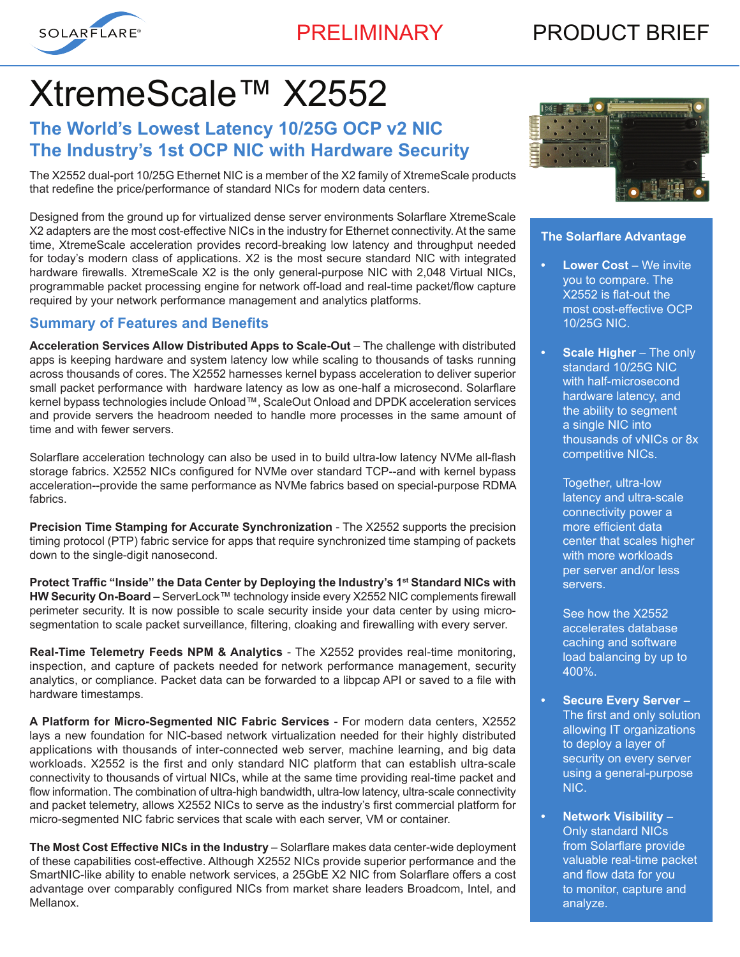

# PRODUCT BRIEF

# XtremeScale™ X2552

## **The World's Lowest Latency 10/25G OCP v2 NIC The Industry's 1st OCP NIC with Hardware Security**

The X2552 dual-port 10/25G Ethernet NIC is a member of the X2 family of XtremeScale products that redefine the price/performance of standard NICs for modern data centers.

Designed from the ground up for virtualized dense server environments Solarflare XtremeScale X2 adapters are the most cost-effective NICs in the industry for Ethernet connectivity. At the same time, XtremeScale acceleration provides record-breaking low latency and throughput needed for today's modern class of applications. X2 is the most secure standard NIC with integrated hardware firewalls. XtremeScale X2 is the only general-purpose NIC with 2,048 Virtual NICs, programmable packet processing engine for network off-load and real-time packet/flow capture required by your network performance management and analytics platforms.

#### **Summary of Features and Benefits**

**Acceleration Services Allow Distributed Apps to Scale-Out** – The challenge with distributed apps is keeping hardware and system latency low while scaling to thousands of tasks running across thousands of cores. The X2552 harnesses kernel bypass acceleration to deliver superior small packet performance with hardware latency as low as one-half a microsecond. Solarflare kernel bypass technologies include Onload™, ScaleOut Onload and DPDK acceleration services and provide servers the headroom needed to handle more processes in the same amount of time and with fewer servers.

Solarflare acceleration technology can also be used in to build ultra-low latency NVMe all-flash storage fabrics. X2552 NICs configured for NVMe over standard TCP--and with kernel bypass acceleration--provide the same performance as NVMe fabrics based on special-purpose RDMA fabrics.

**Precision Time Stamping for Accurate Synchronization** - The X2552 supports the precision timing protocol (PTP) fabric service for apps that require synchronized time stamping of packets down to the single-digit nanosecond.

**Protect Traffic "Inside" the Data Center by Deploying the Industry's 1st Standard NICs with HW Security On-Board** – ServerLock™ technology inside every X2552 NIC complements firewall perimeter security. It is now possible to scale security inside your data center by using microsegmentation to scale packet surveillance, filtering, cloaking and firewalling with every server.

**Real-Time Telemetry Feeds NPM & Analytics** - The X2552 provides real-time monitoring, inspection, and capture of packets needed for network performance management, security analytics, or compliance. Packet data can be forwarded to a libpcap API or saved to a file with hardware timestamps.

**A Platform for Micro-Segmented NIC Fabric Services** - For modern data centers, X2552 lays a new foundation for NIC-based network virtualization needed for their highly distributed applications with thousands of inter-connected web server, machine learning, and big data workloads. X2552 is the first and only standard NIC platform that can establish ultra-scale connectivity to thousands of virtual NICs, while at the same time providing real-time packet and flow information. The combination of ultra-high bandwidth, ultra-low latency, ultra-scale connectivity and packet telemetry, allows X2552 NICs to serve as the industry's first commercial platform for micro-segmented NIC fabric services that scale with each server, VM or container.

**The Most Cost Effective NICs in the Industry** – Solarflare makes data center-wide deployment of these capabilities cost-effective. Although X2552 NICs provide superior performance and the SmartNIC-like ability to enable network services, a 25GbE X2 NIC from Solarflare offers a cost advantage over comparably configured NICs from market share leaders Broadcom, Intel, and Mellanox.



#### **The Solarflare Advantage**

- **• Lower Cost** We invite you to compare. The X2552 is flat-out the most cost-effective OCP 10/25G NIC.
- **• Scale Higher**  The only standard 10/25G NIC with half-microsecond hardware latency, and the ability to segment a single NIC into thousands of vNICs or 8x competitive NICs.
	- Together, ultra-low latency and ultra-scale connectivity power a more efficient data center that scales higher with more workloads per server and/or less servers.
	- See how the X2552 accelerates database caching and software load balancing by up to 400%.
- **• Secure Every Server** The first and only solution allowing IT organizations to deploy a layer of security on every server using a general-purpose NIC.
- **• Network Visibility** Only standard NICs from Solarflare provide valuable real-time packet and flow data for you to monitor, capture and analyze.